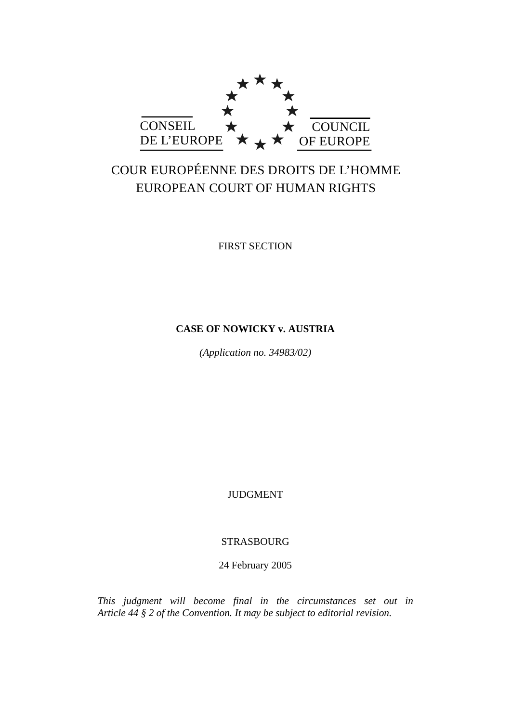

# COUR EUROPÉENNE DES DROITS DE L'HOMME EUROPEAN COURT OF HUMAN RIGHTS

FIRST SECTION

## **CASE OF NOWICKY v. AUSTRIA**

*(Application no. 34983/02)* 

**JUDGMENT** 

## STRASBOURG

24 February 2005

*This judgment will become final in the circumstances set out in Article 44 § 2 of the Convention. It may be subject to editorial revision.*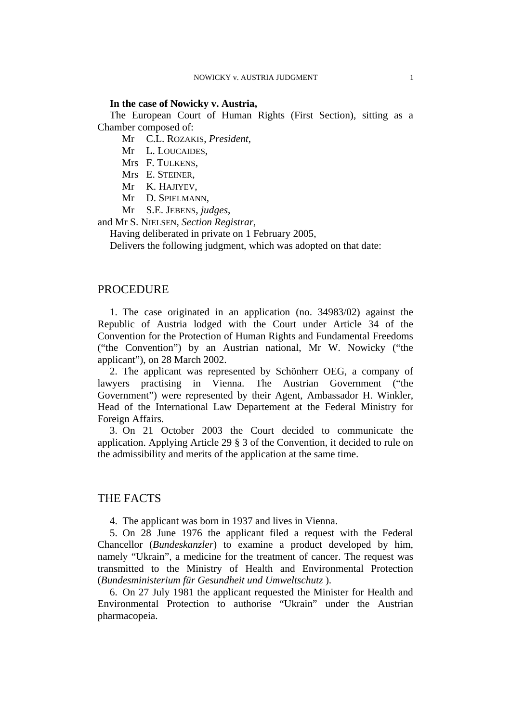#### **In the case of Nowicky v. Austria,**

The European Court of Human Rights (First Section), sitting as a Chamber composed of:

Mr C.L. ROZAKIS, *President*,

Mr L. LOUCAIDES,

Mrs F. TULKENS,

Mrs E. STEINER,

Mr K. HAJIYEV,

Mr D. SPIELMANN,

Mr S.E. JEBENS, *judges*,

and Mr S. NIELSEN, *Section Registrar*,

Having deliberated in private on 1 February 2005,

Delivers the following judgment, which was adopted on that date:

## PROCEDURE

1. The case originated in an application (no. 34983/02) against the Republic of Austria lodged with the Court under Article 34 of the Convention for the Protection of Human Rights and Fundamental Freedoms ("the Convention") by an Austrian national, Mr W. Nowicky ("the applicant"), on 28 March 2002.

2. The applicant was represented by Schönherr OEG, a company of lawyers practising in Vienna. The Austrian Government ("the Government") were represented by their Agent, Ambassador H. Winkler, Head of the International Law Departement at the Federal Ministry for Foreign Affairs.

3. On 21 October 2003 the Court decided to communicate the application. Applying Article 29 § 3 of the Convention, it decided to rule on the admissibility and merits of the application at the same time.

## THE FACTS

4. The applicant was born in 1937 and lives in Vienna.

5. On 28 June 1976 the applicant filed a request with the Federal Chancellor (*Bundeskanzler*) to examine a product developed by him, namely "Ukrain", a medicine for the treatment of cancer. The request was transmitted to the Ministry of Health and Environmental Protection (*Bundesministerium für Gesundheit und Umweltschutz* ).

6. On 27 July 1981 the applicant requested the Minister for Health and Environmental Protection to authorise "Ukrain" under the Austrian pharmacopeia.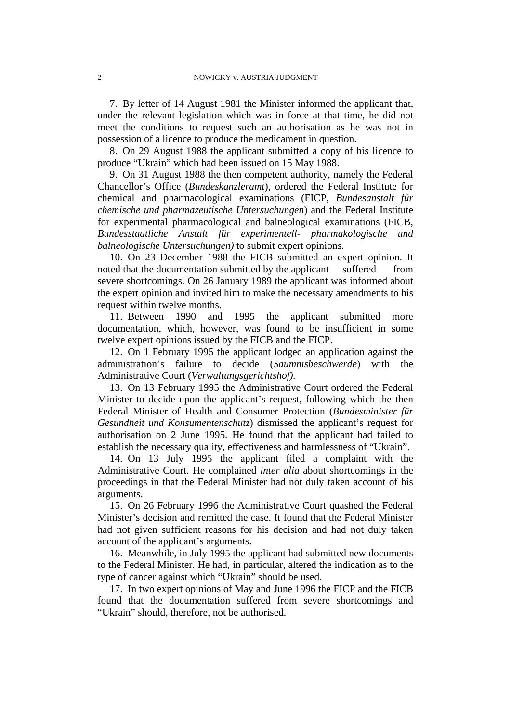7. By letter of 14 August 1981 the Minister informed the applicant that, under the relevant legislation which was in force at that time, he did not meet the conditions to request such an authorisation as he was not in possession of a licence to produce the medicament in question.

8. On 29 August 1988 the applicant submitted a copy of his licence to produce "Ukrain" which had been issued on 15 May 1988.

9. On 31 August 1988 the then competent authority, namely the Federal Chancellor's Office (*Bundeskanzleramt*), ordered the Federal Institute for chemical and pharmacological examinations (FICP, *Bundesanstalt für chemische und pharmazeutische Untersuchungen*) and the Federal Institute for experimental pharmacological and balneological examinations (FICB, *Bundesstaatliche Anstalt für experimentell- pharmakologische und balneologische Untersuchungen)* to submit expert opinions.

10. On 23 December 1988 the FICB submitted an expert opinion. It noted that the documentation submitted by the applicant suffered from severe shortcomings. On 26 January 1989 the applicant was informed about the expert opinion and invited him to make the necessary amendments to his request within twelve months.

11. Between 1990 and 1995 the applicant submitted more documentation, which, however, was found to be insufficient in some twelve expert opinions issued by the FICB and the FICP.

12. On 1 February 1995 the applicant lodged an application against the administration's failure to decide (*Säumnisbeschwerde*) with the Administrative Court (*Verwaltungsgerichtshof).* 

13. On 13 February 1995 the Administrative Court ordered the Federal Minister to decide upon the applicant's request, following which the then Federal Minister of Health and Consumer Protection (*Bundesminister für Gesundheit und Konsumentenschutz*) dismissed the applicant's request for authorisation on 2 June 1995. He found that the applicant had failed to establish the necessary quality, effectiveness and harmlessness of "Ukrain".

14. On 13 July 1995 the applicant filed a complaint with the Administrative Court. He complained *inter alia* about shortcomings in the proceedings in that the Federal Minister had not duly taken account of his arguments.

15. On 26 February 1996 the Administrative Court quashed the Federal Minister's decision and remitted the case. It found that the Federal Minister had not given sufficient reasons for his decision and had not duly taken account of the applicant's arguments.

16. Meanwhile, in July 1995 the applicant had submitted new documents to the Federal Minister. He had, in particular, altered the indication as to the type of cancer against which "Ukrain" should be used.

17. In two expert opinions of May and June 1996 the FICP and the FICB found that the documentation suffered from severe shortcomings and "Ukrain" should, therefore, not be authorised.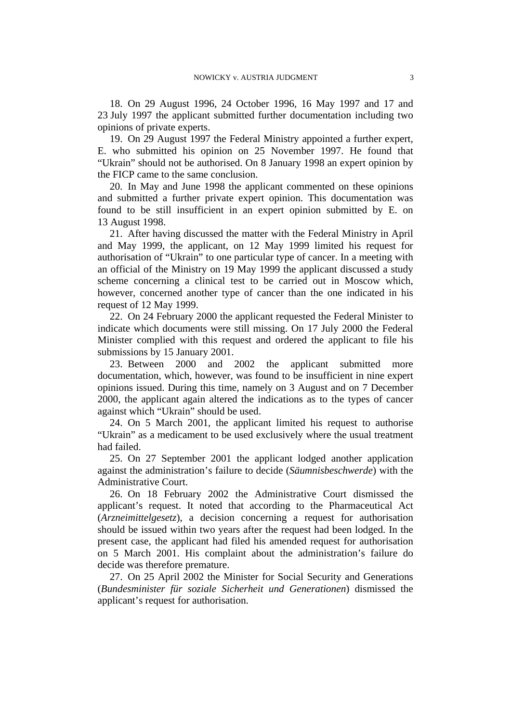18. On 29 August 1996, 24 October 1996, 16 May 1997 and 17 and 23 July 1997 the applicant submitted further documentation including two opinions of private experts.

19. On 29 August 1997 the Federal Ministry appointed a further expert, E. who submitted his opinion on 25 November 1997. He found that "Ukrain" should not be authorised. On 8 January 1998 an expert opinion by the FICP came to the same conclusion.

20. In May and June 1998 the applicant commented on these opinions and submitted a further private expert opinion. This documentation was found to be still insufficient in an expert opinion submitted by E. on 13 August 1998.

21. After having discussed the matter with the Federal Ministry in April and May 1999, the applicant, on 12 May 1999 limited his request for authorisation of "Ukrain" to one particular type of cancer. In a meeting with an official of the Ministry on 19 May 1999 the applicant discussed a study scheme concerning a clinical test to be carried out in Moscow which, however, concerned another type of cancer than the one indicated in his request of 12 May 1999.

22. On 24 February 2000 the applicant requested the Federal Minister to indicate which documents were still missing. On 17 July 2000 the Federal Minister complied with this request and ordered the applicant to file his submissions by 15 January 2001.

23. Between 2000 and 2002 the applicant submitted more documentation, which, however, was found to be insufficient in nine expert opinions issued. During this time, namely on 3 August and on 7 December 2000, the applicant again altered the indications as to the types of cancer against which "Ukrain" should be used.

24. On 5 March 2001, the applicant limited his request to authorise "Ukrain" as a medicament to be used exclusively where the usual treatment had failed.

25. On 27 September 2001 the applicant lodged another application against the administration's failure to decide (*Säumnisbeschwerde*) with the Administrative Court.

26. On 18 February 2002 the Administrative Court dismissed the applicant's request. It noted that according to the Pharmaceutical Act (*Arzneimittelgesetz*), a decision concerning a request for authorisation should be issued within two years after the request had been lodged. In the present case, the applicant had filed his amended request for authorisation on 5 March 2001. His complaint about the administration's failure do decide was therefore premature.

27. On 25 April 2002 the Minister for Social Security and Generations (*Bundesminister für soziale Sicherheit und Generationen*) dismissed the applicant's request for authorisation.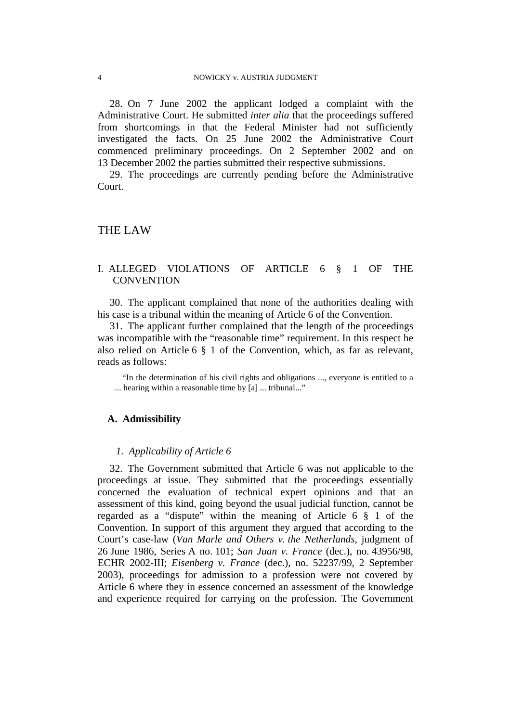28. On 7 June 2002 the applicant lodged a complaint with the Administrative Court. He submitted *inter alia* that the proceedings suffered from shortcomings in that the Federal Minister had not sufficiently investigated the facts. On 25 June 2002 the Administrative Court commenced preliminary proceedings. On 2 September 2002 and on 13 December 2002 the parties submitted their respective submissions.

29. The proceedings are currently pending before the Administrative Court.

## THE LAW

## I. ALLEGED VIOLATIONS OF ARTICLE 6 § 1 OF THE **CONVENTION**

30. The applicant complained that none of the authorities dealing with his case is a tribunal within the meaning of Article 6 of the Convention.

31. The applicant further complained that the length of the proceedings was incompatible with the "reasonable time" requirement. In this respect he also relied on Article 6 § 1 of the Convention, which, as far as relevant, reads as follows:

"In the determination of his civil rights and obligations ..., everyone is entitled to a ... hearing within a reasonable time by [a] ... tribunal..."

#### **A. Admissibility**

#### *1. Applicability of Article 6*

32. The Government submitted that Article 6 was not applicable to the proceedings at issue. They submitted that the proceedings essentially concerned the evaluation of technical expert opinions and that an assessment of this kind, going beyond the usual judicial function, cannot be regarded as a "dispute" within the meaning of Article 6 § 1 of the Convention. In support of this argument they argued that according to the Court's case-law (*Van Marle and Others v. the Netherlands,* judgment of 26 June 1986, Series A no. 101; *San Juan v. France* (dec.), no. 43956/98, ECHR 2002-III; *Eisenberg v. France* (dec.), no. 52237/99, 2 September 2003), proceedings for admission to a profession were not covered by Article 6 where they in essence concerned an assessment of the knowledge and experience required for carrying on the profession. The Government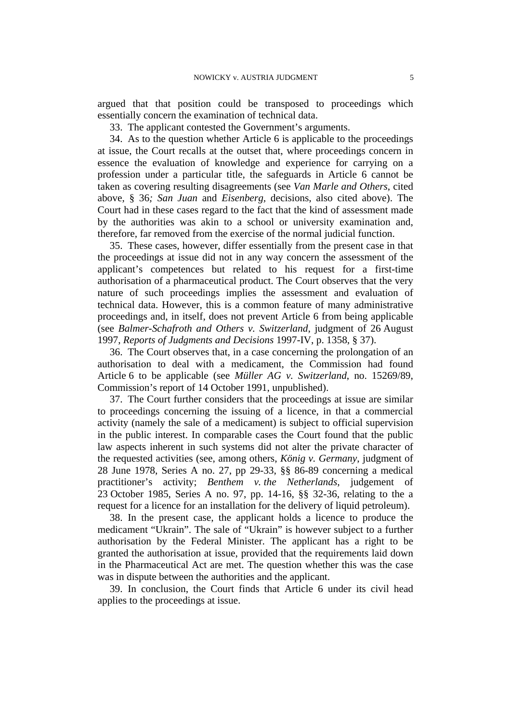argued that that position could be transposed to proceedings which essentially concern the examination of technical data.

33. The applicant contested the Government's arguments.

34. As to the question whether Article 6 is applicable to the proceedings at issue, the Court recalls at the outset that, where proceedings concern in essence the evaluation of knowledge and experience for carrying on a profession under a particular title, the safeguards in Article 6 cannot be taken as covering resulting disagreements (see *Van Marle and Others*, cited above, § 36*; San Juan* and *Eisenberg,* decisions, also cited above). The Court had in these cases regard to the fact that the kind of assessment made by the authorities was akin to a school or university examination and, therefore, far removed from the exercise of the normal judicial function.

35. These cases, however, differ essentially from the present case in that the proceedings at issue did not in any way concern the assessment of the applicant's competences but related to his request for a first-time authorisation of a pharmaceutical product. The Court observes that the very nature of such proceedings implies the assessment and evaluation of technical data. However, this is a common feature of many administrative proceedings and, in itself, does not prevent Article 6 from being applicable (see *Balmer-Schafroth and Others v. Switzerland*, judgment of 26 August 1997, *Reports of Judgments and Decisions* 1997-IV, p. 1358, § 37).

36. The Court observes that, in a case concerning the prolongation of an authorisation to deal with a medicament, the Commission had found Article 6 to be applicable (see *Müller AG v. Switzerland*, no. 15269/89, Commission's report of 14 October 1991, unpublished).

37. The Court further considers that the proceedings at issue are similar to proceedings concerning the issuing of a licence, in that a commercial activity (namely the sale of a medicament) is subject to official supervision in the public interest. In comparable cases the Court found that the public law aspects inherent in such systems did not alter the private character of the requested activities (see, among others, *König v. Germany*, judgment of 28 June 1978, Series A no. 27, pp 29-33, §§ 86-89 concerning a medical practitioner's activity; *Benthem v. the Netherlands*, judgement of 23 October 1985, Series A no. 97, pp. 14-16, §§ 32-36, relating to the a request for a licence for an installation for the delivery of liquid petroleum).

38. In the present case, the applicant holds a licence to produce the medicament "Ukrain". The sale of "Ukrain" is however subject to a further authorisation by the Federal Minister. The applicant has a right to be granted the authorisation at issue, provided that the requirements laid down in the Pharmaceutical Act are met. The question whether this was the case was in dispute between the authorities and the applicant.

39. In conclusion, the Court finds that Article 6 under its civil head applies to the proceedings at issue.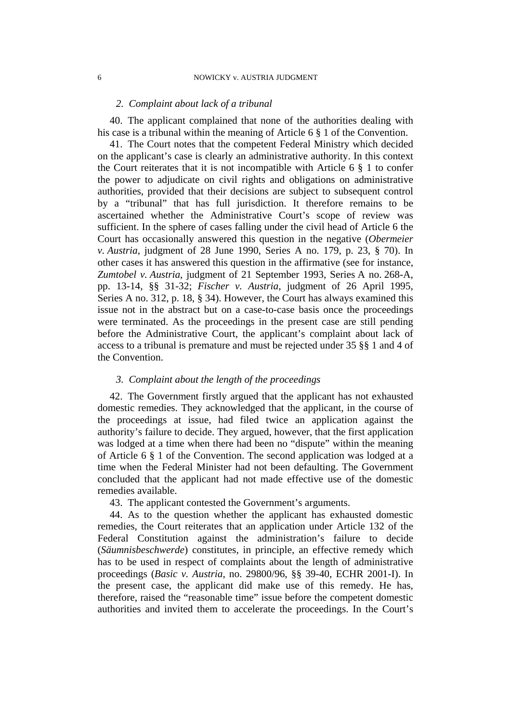#### *2. Complaint about lack of a tribunal*

40. The applicant complained that none of the authorities dealing with his case is a tribunal within the meaning of Article 6 § 1 of the Convention.

41. The Court notes that the competent Federal Ministry which decided on the applicant's case is clearly an administrative authority. In this context the Court reiterates that it is not incompatible with Article  $6 \S 1$  to confer the power to adjudicate on civil rights and obligations on administrative authorities, provided that their decisions are subject to subsequent control by a "tribunal" that has full jurisdiction. It therefore remains to be ascertained whether the Administrative Court's scope of review was sufficient. In the sphere of cases falling under the civil head of Article 6 the Court has occasionally answered this question in the negative (*Obermeier v. Austria*, judgment of 28 June 1990, Series A no. 179, p. 23, § 70). In other cases it has answered this question in the affirmative (see for instance, *Zumtobel v. Austria*, judgment of 21 September 1993, Series A no. 268-A, pp. 13-14, §§ 31-32; *Fischer v. Austria*, judgment of 26 April 1995, Series A no. 312, p. 18, § 34). However, the Court has always examined this issue not in the abstract but on a case-to-case basis once the proceedings were terminated. As the proceedings in the present case are still pending before the Administrative Court, the applicant's complaint about lack of access to a tribunal is premature and must be rejected under 35 §§ 1 and 4 of the Convention.

#### *3. Complaint about the length of the proceedings*

42. The Government firstly argued that the applicant has not exhausted domestic remedies. They acknowledged that the applicant, in the course of the proceedings at issue, had filed twice an application against the authority's failure to decide. They argued, however, that the first application was lodged at a time when there had been no "dispute" within the meaning of Article 6 § 1 of the Convention. The second application was lodged at a time when the Federal Minister had not been defaulting. The Government concluded that the applicant had not made effective use of the domestic remedies available.

43. The applicant contested the Government's arguments.

44. As to the question whether the applicant has exhausted domestic remedies, the Court reiterates that an application under Article 132 of the Federal Constitution against the administration's failure to decide (*Säumnisbeschwerde*) constitutes, in principle, an effective remedy which has to be used in respect of complaints about the length of administrative proceedings (*Basic v. Austria*, no. 29800/96, §§ 39-40, ECHR 2001-I). In the present case, the applicant did make use of this remedy. He has, therefore, raised the "reasonable time" issue before the competent domestic authorities and invited them to accelerate the proceedings. In the Court's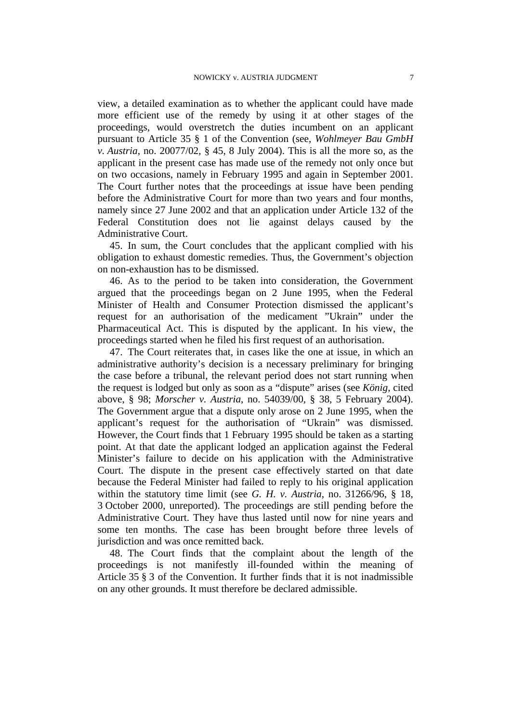view, a detailed examination as to whether the applicant could have made more efficient use of the remedy by using it at other stages of the proceedings, would overstretch the duties incumbent on an applicant pursuant to Article 35 § 1 of the Convention (see, *Wohlmeyer Bau GmbH v. Austria*, no. 20077/02, § 45, 8 July 2004). This is all the more so, as the applicant in the present case has made use of the remedy not only once but on two occasions, namely in February 1995 and again in September 2001. The Court further notes that the proceedings at issue have been pending before the Administrative Court for more than two years and four months, namely since 27 June 2002 and that an application under Article 132 of the Federal Constitution does not lie against delays caused by the Administrative Court.

45. In sum, the Court concludes that the applicant complied with his obligation to exhaust domestic remedies. Thus, the Government's objection on non-exhaustion has to be dismissed.

46. As to the period to be taken into consideration, the Government argued that the proceedings began on 2 June 1995, when the Federal Minister of Health and Consumer Protection dismissed the applicant's request for an authorisation of the medicament "Ukrain" under the Pharmaceutical Act. This is disputed by the applicant. In his view, the proceedings started when he filed his first request of an authorisation.

47. The Court reiterates that, in cases like the one at issue, in which an administrative authority's decision is a necessary preliminary for bringing the case before a tribunal, the relevant period does not start running when the request is lodged but only as soon as a "dispute" arises (see *König*, cited above, § 98; *Morscher v. Austria*, no. 54039/00, § 38, 5 February 2004). The Government argue that a dispute only arose on 2 June 1995, when the applicant's request for the authorisation of "Ukrain" was dismissed. However, the Court finds that 1 February 1995 should be taken as a starting point. At that date the applicant lodged an application against the Federal Minister's failure to decide on his application with the Administrative Court. The dispute in the present case effectively started on that date because the Federal Minister had failed to reply to his original application within the statutory time limit (see *G. H. v. Austria*, no. 31266/96, § 18, 3 October 2000, unreported). The proceedings are still pending before the Administrative Court. They have thus lasted until now for nine years and some ten months. The case has been brought before three levels of jurisdiction and was once remitted back.

48. The Court finds that the complaint about the length of the proceedings is not manifestly ill-founded within the meaning of Article 35 § 3 of the Convention. It further finds that it is not inadmissible on any other grounds. It must therefore be declared admissible.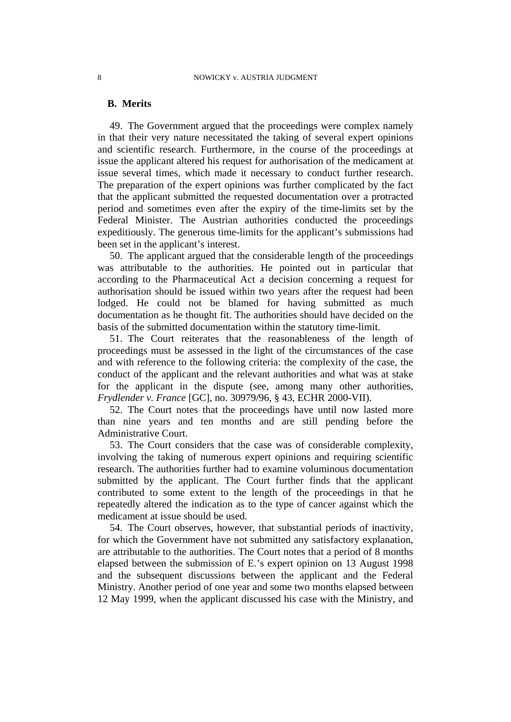#### **B. Merits**

49. The Government argued that the proceedings were complex namely in that their very nature necessitated the taking of several expert opinions and scientific research. Furthermore, in the course of the proceedings at issue the applicant altered his request for authorisation of the medicament at issue several times, which made it necessary to conduct further research. The preparation of the expert opinions was further complicated by the fact that the applicant submitted the requested documentation over a protracted period and sometimes even after the expiry of the time-limits set by the Federal Minister. The Austrian authorities conducted the proceedings expeditiously. The generous time-limits for the applicant's submissions had been set in the applicant's interest.

50. The applicant argued that the considerable length of the proceedings was attributable to the authorities. He pointed out in particular that according to the Pharmaceutical Act a decision concerning a request for authorisation should be issued within two years after the request had been lodged. He could not be blamed for having submitted as much documentation as he thought fit. The authorities should have decided on the basis of the submitted documentation within the statutory time-limit.

51. The Court reiterates that the reasonableness of the length of proceedings must be assessed in the light of the circumstances of the case and with reference to the following criteria: the complexity of the case, the conduct of the applicant and the relevant authorities and what was at stake for the applicant in the dispute (see, among many other authorities, *Frydlender v. France* [GC], no. 30979/96, § 43, ECHR 2000-VII).

52. The Court notes that the proceedings have until now lasted more than nine years and ten months and are still pending before the Administrative Court.

53. The Court considers that the case was of considerable complexity, involving the taking of numerous expert opinions and requiring scientific research. The authorities further had to examine voluminous documentation submitted by the applicant. The Court further finds that the applicant contributed to some extent to the length of the proceedings in that he repeatedly altered the indication as to the type of cancer against which the medicament at issue should be used.

54. The Court observes, however, that substantial periods of inactivity, for which the Government have not submitted any satisfactory explanation, are attributable to the authorities. The Court notes that a period of 8 months elapsed between the submission of E.'s expert opinion on 13 August 1998 and the subsequent discussions between the applicant and the Federal Ministry. Another period of one year and some two months elapsed between 12 May 1999, when the applicant discussed his case with the Ministry, and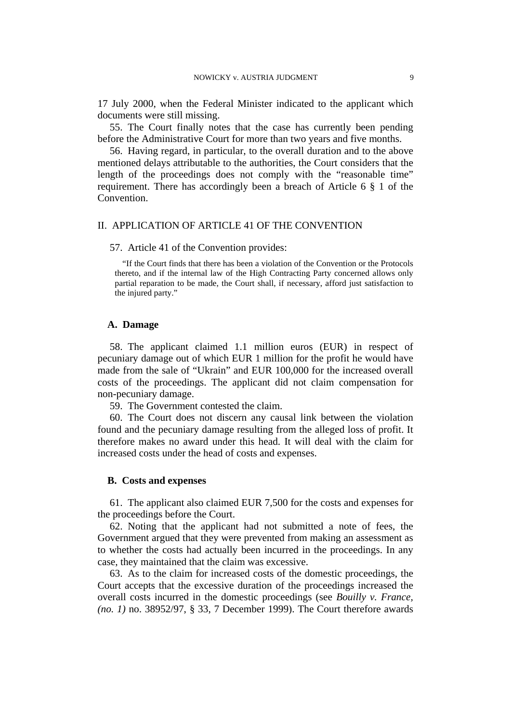17 July 2000, when the Federal Minister indicated to the applicant which documents were still missing.

55. The Court finally notes that the case has currently been pending before the Administrative Court for more than two years and five months.

56. Having regard, in particular, to the overall duration and to the above mentioned delays attributable to the authorities, the Court considers that the length of the proceedings does not comply with the "reasonable time" requirement. There has accordingly been a breach of Article 6 § 1 of the Convention.

#### II. APPLICATION OF ARTICLE 41 OF THE CONVENTION

57. Article 41 of the Convention provides:

"If the Court finds that there has been a violation of the Convention or the Protocols thereto, and if the internal law of the High Contracting Party concerned allows only partial reparation to be made, the Court shall, if necessary, afford just satisfaction to the injured party."

#### **A. Damage**

58. The applicant claimed 1.1 million euros (EUR) in respect of pecuniary damage out of which EUR 1 million for the profit he would have made from the sale of "Ukrain" and EUR 100,000 for the increased overall costs of the proceedings. The applicant did not claim compensation for non-pecuniary damage.

59. The Government contested the claim.

60. The Court does not discern any causal link between the violation found and the pecuniary damage resulting from the alleged loss of profit. It therefore makes no award under this head. It will deal with the claim for increased costs under the head of costs and expenses.

#### **B. Costs and expenses**

61. The applicant also claimed EUR 7,500 for the costs and expenses for the proceedings before the Court.

62. Noting that the applicant had not submitted a note of fees, the Government argued that they were prevented from making an assessment as to whether the costs had actually been incurred in the proceedings. In any case, they maintained that the claim was excessive.

63. As to the claim for increased costs of the domestic proceedings, the Court accepts that the excessive duration of the proceedings increased the overall costs incurred in the domestic proceedings (see *Bouilly v. France, (no. 1)* no. 38952/97, § 33, 7 December 1999). The Court therefore awards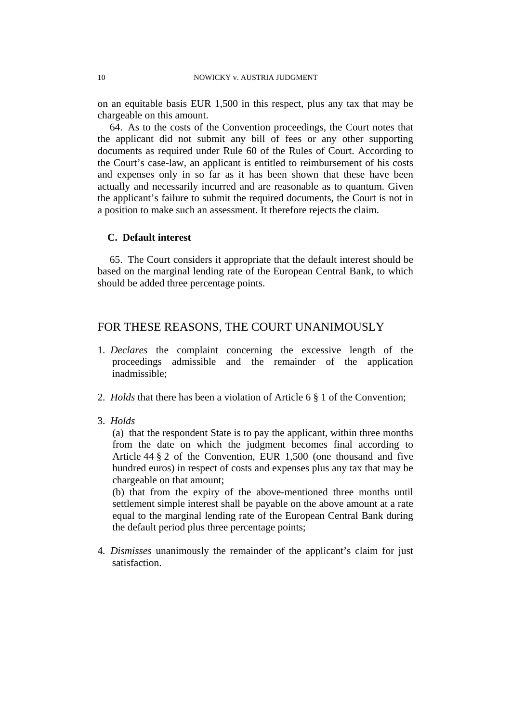on an equitable basis EUR 1,500 in this respect, plus any tax that may be chargeable on this amount.

64. As to the costs of the Convention proceedings, the Court notes that the applicant did not submit any bill of fees or any other supporting documents as required under Rule 60 of the Rules of Court. According to the Court's case-law, an applicant is entitled to reimbursement of his costs and expenses only in so far as it has been shown that these have been actually and necessarily incurred and are reasonable as to quantum. Given the applicant's failure to submit the required documents, the Court is not in a position to make such an assessment. It therefore rejects the claim.

#### **C. Default interest**

65. The Court considers it appropriate that the default interest should be based on the marginal lending rate of the European Central Bank, to which should be added three percentage points.

## FOR THESE REASONS, THE COURT UNANIMOUSLY

- 1. *Declares* the complaint concerning the excessive length of the proceedings admissible and the remainder of the application inadmissible;
- 2. *Holds* that there has been a violation of Article 6 § 1 of the Convention;
- 3. *Holds*

(a) that the respondent State is to pay the applicant, within three months from the date on which the judgment becomes final according to Article 44 § 2 of the Convention, EUR 1,500 (one thousand and five hundred euros) in respect of costs and expenses plus any tax that may be chargeable on that amount;

(b) that from the expiry of the above-mentioned three months until settlement simple interest shall be payable on the above amount at a rate equal to the marginal lending rate of the European Central Bank during the default period plus three percentage points;

4. *Dismisses* unanimously the remainder of the applicant's claim for just satisfaction.